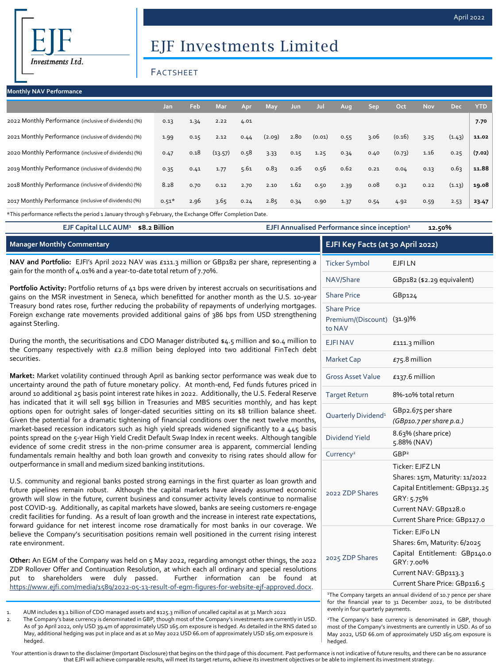securities.

# EJF Investments Limited

## FACTSHEET

| <b>Monthly NAV Performance</b>                        |         |      |            |      |            |            |        |      |      |        |            |            |            |
|-------------------------------------------------------|---------|------|------------|------|------------|------------|--------|------|------|--------|------------|------------|------------|
|                                                       | Jan     | Feb  | <b>Mar</b> | Apr  | <b>May</b> | <b>Jun</b> | Jul    | Aug. | Sep  | Oct    | <b>Nov</b> | <b>Dec</b> | <b>YTD</b> |
| 2022 Monthly Performance (inclusive of dividends) (%) | 0.13    | 1.34 | 2.22       | 4.01 |            |            |        |      |      |        |            |            | 7.70       |
| 2021 Monthly Performance (inclusive of dividends) (%) | 1.99    | 0.15 | 2.12       | 0.44 | (2.09)     | 2.80       | (0.01) | 0.55 | 3.06 | (0.16) | 3.25       | (1.43)     | 11.02      |
| 2020 Monthly Performance (inclusive of dividends) (%) | 0.47    | 0.18 | (13.57)    | 0.58 | 3.33       | 0.15       | 1.25   | 0.34 | 0.40 | (0.73) | 1.16       | 0.25       | (7.02)     |
| 2019 Monthly Performance (inclusive of dividends) (%) | 0.35    | 0.41 | 1.77       | 5.61 | 0.83       | 0.26       | 0.56   | 0.62 | 0.21 | 0.04   | 0.13       | 0.63       | 11.88      |
| 2018 Monthly Performance (inclusive of dividends) (%) | 8.28    | 0.70 | 0.12       | 2.70 | 2.10       | 1.62       | 0.50   | 2.39 | 0.08 | 0.32   | 0.22       | (1.13)     | 19.08      |
| 2017 Monthly Performance (inclusive of dividends) (%) | $0.51*$ | 2.96 | 3.65       | 0.24 | 2.85       | 0.34       | 0.90   | 1.37 | 0.54 | 4.92   | 0.59       | 2.53       | 23.47      |

**EJF Capital LLC AUM<sup>1</sup> \$8.2 Billion EJFI Annualised Performance since inception<sup>2</sup> 12.50%**

\*This performance reflects the period 1 January through 9 February, the Exchange Offer Completion Date.

| <b>Manager Monthly Commentary</b>                                                                                                                                                                                     | EJFI Key Facts (at 30 April 2022)                          |                        |  |  |
|-----------------------------------------------------------------------------------------------------------------------------------------------------------------------------------------------------------------------|------------------------------------------------------------|------------------------|--|--|
| NAV and Portfolio: EJFI's April 2022 NAV was £111.3 million or GBp182 per share, representing a<br>gain for the month of 4.01% and a year-to-date total return of 7.70%.                                              | <b>Ticker Symbol</b>                                       | EJFI LN                |  |  |
|                                                                                                                                                                                                                       | NAV/Share                                                  | GBp182 (\$2.29 equival |  |  |
| Portfolio Activity: Portfolio returns of 41 bps were driven by interest accruals on securitisations and<br>gains on the MSR investment in Seneca, which benefitted for another month as the U.S. 10-year              | <b>Share Price</b>                                         | GBp124                 |  |  |
| Treasury bond rates rose, further reducing the probability of repayments of underlying mortgages.<br>Foreign exchange rate movements provided additional gains of 386 bps from USD strengthening<br>against Sterling. | <b>Share Price</b><br>Premium/(Discount) (31.9)%<br>to NAV |                        |  |  |
| During the month, the securitisations and CDO Manager distributed \$4.5 million and \$0.4 million to<br>the Company respectively with £2.8 million being deployed into two additional FinTech debt                    | <b>EJFINAV</b>                                             | $£111.3$ million       |  |  |

**Market:** Market volatility continued through April as banking sector performance was weak due to uncertainty around the path of future monetary policy. At month-end, Fed funds futures priced in around 10 additional 25 basis point interest rate hikes in 2022. Additionally, the U.S. Federal Reserve has indicated that it will sell \$95 billion in Treasuries and MBS securities monthly, and has kept options open for outright sales of longer-dated securities sitting on its \$8 trillion balance sheet. Given the potential for a dramatic tightening of financial conditions over the next twelve months, market-based recession indicators such as high yield spreads widened significantly to a 445 basis points spread on the 5-year High Yield Credit Default Swap Index in recent weeks. Although tangible evidence of some credit stress in the non-prime consumer area is apparent, commercial lending fundamentals remain healthy and both loan growth and convexity to rising rates should allow for outperformance in small and medium sized banking institutions.

U.S. community and regional banks posted strong earnings in the first quarter as loan growth and future pipelines remain robust. Although the capital markets have already assumed economic growth will slow in the future, current business and consumer activity levels continue to normalise post COVID-19. Additionally, as capital markets have slowed, banks are seeing customers re-engage credit facilities for funding. As a result of loan growth and the increase in interest rate expectations, forward guidance for net interest income rose dramatically for most banks in our coverage. We believe the Company's securitisation positions remain well positioned in the current rising interest rate environment.

**Other:** An EGM of the Company was held on 5 May 2022, regarding amongst other things, the 2022 ZDP Rollover Offer and Continuation Resolution, at which each all ordinary and special resolutions put to shareholders were duly passed. Further information can be found at [https://www.ejfi.com/media/1589/2022-05-13-result-of-egm-figures-for-website-ejf-approved.docx.](https://www.ejfi.com/media/1589/2022-05-13-result-of-egm-figures-for-website-ejf-approved.docx)

1. AUM includes \$3.1 billion of CDO managed assets and \$125.3 million of uncalled capital as at 31 March 2022

2. The Company's base currency is denominated in GBP, though most of the Company's investments are currently in USD. As of 30 April 2022, only USD 39.4m of approximately USD 165.0m exposure is hedged. As detailed in the RNS dated 10 May, additional hedging was put in place and as at 10 May 2022 USD 66.0m of approximately USD 165.0m exposure is hedged.

| EJFI Key Facts (at 30 April 2022)                          |                                                                                                                                                             |  |  |  |
|------------------------------------------------------------|-------------------------------------------------------------------------------------------------------------------------------------------------------------|--|--|--|
| <b>Ticker Symbol</b>                                       | <b>EJFILN</b>                                                                                                                                               |  |  |  |
| NAV/Share                                                  | GBp182 (\$2.29 equivalent)                                                                                                                                  |  |  |  |
| <b>Share Price</b>                                         | GBp124                                                                                                                                                      |  |  |  |
| <b>Share Price</b><br>Premium/(Discount) (31.9)%<br>to NAV |                                                                                                                                                             |  |  |  |
| <b>EJFI NAV</b>                                            | £111.3 million                                                                                                                                              |  |  |  |
| <b>Market Cap</b>                                          | $E$ 75.8 million                                                                                                                                            |  |  |  |
| <b>Gross Asset Value</b>                                   | £137.6 million                                                                                                                                              |  |  |  |
| <b>Target Return</b>                                       | 8%-10% total return                                                                                                                                         |  |  |  |
| Quarterly Dividend <sup>1</sup>                            | GBp2.675 per share<br>(GBp10.7 per share p.a.)                                                                                                              |  |  |  |
| <b>Dividend Yield</b>                                      | 8.63% (share price)<br>5.88% (NAV)                                                                                                                          |  |  |  |
| Currency <sup>2</sup>                                      | GBP <sup>2</sup>                                                                                                                                            |  |  |  |
| 2022 ZDP Shares                                            | Ticker: EJFZ LN<br>Shares: 15m, Maturity: 11/2022<br>Capital Entitlement: GBp132.25<br>GRY: 5.75%<br>Current NAV: GBp128.0<br>Current Share Price: GBp127.0 |  |  |  |
| 2025 ZDP Shares                                            | Ticker: EJFo LN<br>Shares: 6m, Maturity: 6/2025<br>Capital Entitlement: GBp140.0<br>GRY: 7.00%<br>Current NAV: GBp113.3<br>Current Share Price: GBp116.5    |  |  |  |

<sup>1</sup>The Company targets an annual dividend of 10.7 pence per share for the financial year to 31 December 2022, to be distributed evenly in four quarterly payments.

<sup>2</sup>The Company's base currency is denominated in GBP, though most of the Company's investments are currently in USD. As of 10 May 2022, USD 66.0m of approximately USD 165.0m exposure is hedged.

Your attention is drawn to the disclaimer (Important Disclosure) that begins on the third page of this document. Past performance is not indicative of future results, and there can be no assurance that EJFI will achieve comparable results, will meet its target returns, achieve its investment objectives or be able to implement its investment strategy.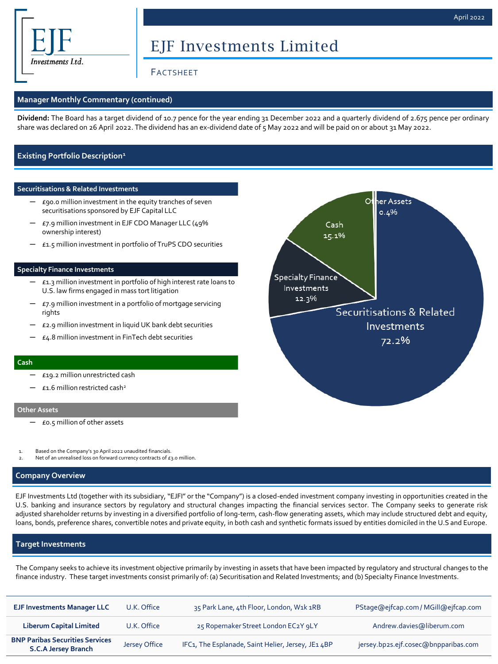

# EJF Investments Limited

## FACTSHEET

#### **Manager Monthly Commentary (continued)**

**Dividend:** The Board has a target dividend of 10.7 pence for the year ending 31 December 2022 and a quarterly dividend of 2.675 pence per ordinary share was declared on 26 April 2022. The dividend has an ex-dividend date of 5 May 2022 and will be paid on or about 31 May 2022.

### **Existing Portfolio Description<sup>1</sup>**

#### **Securitisations & Related Investments**

- $E$ 90.0 million investment in the equity tranches of seven securitisations sponsored by EJF Capital LLC
- ─ £7.9 million investment in EJF CDO Manager LLC (49% ownership interest)
- £1.5 million investment in portfolio of TruPS CDO securities

#### **Specialty Finance Investments**

- ─ £1.3 million investment in portfolio of high interest rate loans to U.S. law firms engaged in mass tort litigation
- $\epsilon$ 7.9 million investment in a portfolio of mortgage servicing rights
- ─ £2.9 million investment in liquid UK bank debt securities
- ─ £4.8 million investment in FinTech debt securities

#### **Cash**

- ─ £19.2 million unrestricted cash
- $£1.6$  million restricted cash<sup>2</sup>

#### **Other Assets**

- ─ £0.5 million of other assets
- Based on the Company's 30 April 2022 unaudited financials.
- Net of an unrealised loss on forward currency contracts of  $\epsilon_3$ .0 million.

#### **Company Overview**

EJF Investments Ltd (together with its subsidiary, "EJFI" or the "Company") is a closed-ended investment company investing in opportunities created in the U.S. banking and insurance sectors by regulatory and structural changes impacting the financial services sector. The Company seeks to generate risk adjusted shareholder returns by investing in a diversified portfolio of long-term, cash-flow generating assets, which may include structured debt and equity, loans, bonds, preference shares, convertible notes and private equity, in both cash and synthetic formats issued by entities domiciled in the U.S and Europe.

#### **Target Investments**

The Company seeks to achieve its investment objective primarily by investing in assets that have been impacted by regulatory and structural changes to the finance industry. These target investments consist primarily of: (a) Securitisation and Related Investments; and (b) Specialty Finance Investments.

| <b>EJF Investments Manager LLC</b>                                   | U.K. Office   | 35 Park Lane, 4th Floor, London, W1k 1RB           | PStage@ejfcap.com/MGill@ejfcap.com   |
|----------------------------------------------------------------------|---------------|----------------------------------------------------|--------------------------------------|
| <b>Liberum Capital Limited</b>                                       | U.K. Office   | 25 Ropemaker Street London EC2Y 9LY                | Andrew.davies@liberum.com            |
| <b>BNP Paribas Securities Services</b><br><b>S.C.A Jersey Branch</b> | Jersey Office | IFC1, The Esplanade, Saint Helier, Jersey, JE1 4BP | jersey.bp2s.ejf.cosec@bnpparibas.com |